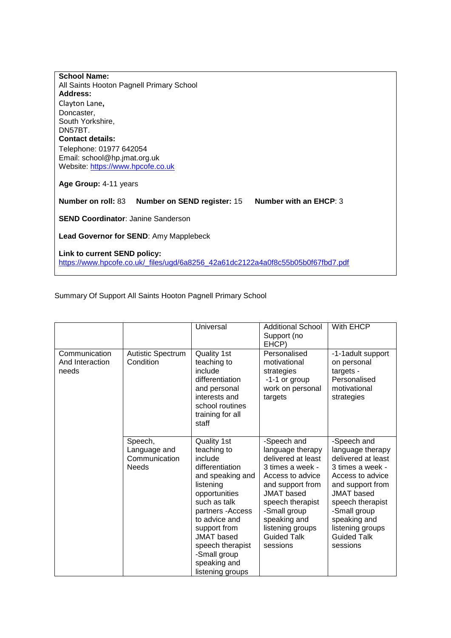| <b>School Name:</b>                                                             |                        |
|---------------------------------------------------------------------------------|------------------------|
| All Saints Hooton Pagnell Primary School                                        |                        |
| Address:                                                                        |                        |
| Clayton Lane,                                                                   |                        |
| Doncaster,                                                                      |                        |
| South Yorkshire,                                                                |                        |
| DN57BT.                                                                         |                        |
| <b>Contact details:</b>                                                         |                        |
| Telephone: 01977 642054                                                         |                        |
| Email: school@hp.jmat.org.uk                                                    |                        |
| Website: https://www.hpcofe.co.uk                                               |                        |
|                                                                                 |                        |
| Age Group: 4-11 years                                                           |                        |
|                                                                                 |                        |
| Number on roll: 83<br><b>Number on SEND register: 15</b>                        | Number with an EHCP: 3 |
| <b>SEND Coordinator: Janine Sanderson</b>                                       |                        |
|                                                                                 |                        |
| <b>Lead Governor for SEND:</b> Amy Mapplebeck                                   |                        |
|                                                                                 |                        |
|                                                                                 |                        |
| Link to current SEND policy:                                                    |                        |
| https://www.hpcofe.co.uk/_files/ugd/6a8256_42a61dc2122a4a0f8c55b05b0f67fbd7.pdf |                        |

Summary Of Support All Saints Hooton Pagnell Primary School

|                                           |                                                          | Universal                                                                                                                                                                                                                                                                            | <b>Additional School</b><br>Support (no<br>EHCP)                                                                                                                                                                                                 | With EHCP                                                                                                                                                                                                                                        |
|-------------------------------------------|----------------------------------------------------------|--------------------------------------------------------------------------------------------------------------------------------------------------------------------------------------------------------------------------------------------------------------------------------------|--------------------------------------------------------------------------------------------------------------------------------------------------------------------------------------------------------------------------------------------------|--------------------------------------------------------------------------------------------------------------------------------------------------------------------------------------------------------------------------------------------------|
| Communication<br>And Interaction<br>needs | Autistic Spectrum<br>Condition                           | Quality 1st<br>teaching to<br>include<br>differentiation<br>and personal<br>interests and<br>school routines<br>training for all<br>staff                                                                                                                                            | Personalised<br>motivational<br>strategies<br>-1-1 or group<br>work on personal<br>targets                                                                                                                                                       | -1-1 adult support<br>on personal<br>targets -<br>Personalised<br>motivational<br>strategies                                                                                                                                                     |
|                                           | Speech,<br>Language and<br>Communication<br><b>Needs</b> | <b>Quality 1st</b><br>teaching to<br>include<br>differentiation<br>and speaking and<br>listening<br>opportunities<br>such as talk<br>partners - Access<br>to advice and<br>support from<br><b>JMAT</b> based<br>speech therapist<br>-Small group<br>speaking and<br>listening groups | -Speech and<br>language therapy<br>delivered at least<br>3 times a week -<br>Access to advice<br>and support from<br><b>JMAT</b> based<br>speech therapist<br>-Small group<br>speaking and<br>listening groups<br><b>Guided Talk</b><br>sessions | -Speech and<br>language therapy<br>delivered at least<br>3 times a week -<br>Access to advice<br>and support from<br><b>JMAT</b> based<br>speech therapist<br>-Small group<br>speaking and<br>listening groups<br><b>Guided Talk</b><br>sessions |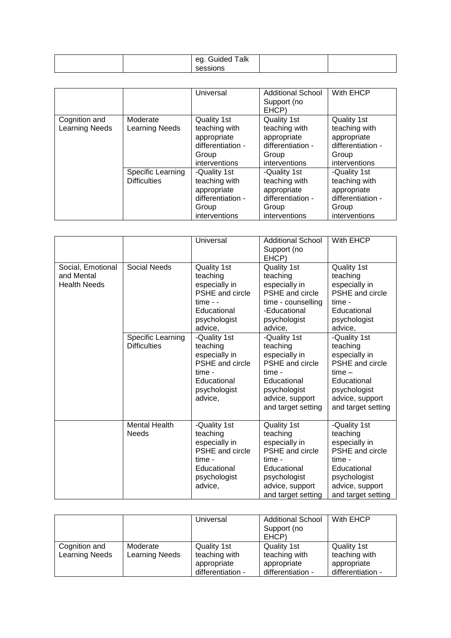|  | Talk<br>$-$<br>. .<br>Guided<br>ea |  |
|--|------------------------------------|--|
|  | sessions                           |  |

|                       |                                          | Universal                                                                                   | <b>Additional School</b><br>Support (no<br>EHCP)                                            | With EHCP                                                                                   |
|-----------------------|------------------------------------------|---------------------------------------------------------------------------------------------|---------------------------------------------------------------------------------------------|---------------------------------------------------------------------------------------------|
| Cognition and         | Moderate                                 | Quality 1st                                                                                 | Quality 1st                                                                                 | Quality 1st                                                                                 |
| <b>Learning Needs</b> | Learning Needs                           | teaching with<br>appropriate<br>differentiation -<br>Group<br>interventions                 | teaching with<br>appropriate<br>differentiation -<br>Group<br>interventions                 | teaching with<br>appropriate<br>differentiation -<br>Group<br>interventions                 |
|                       | Specific Learning<br><b>Difficulties</b> | -Quality 1st<br>teaching with<br>appropriate<br>differentiation -<br>Group<br>interventions | -Quality 1st<br>teaching with<br>appropriate<br>differentiation -<br>Group<br>interventions | -Quality 1st<br>teaching with<br>appropriate<br>differentiation -<br>Group<br>interventions |

|                                                        |                                                 | Universal                                                                                                               | <b>Additional School</b><br>Support (no<br>EHCP)                                                                                                      | With EHCP                                                                                                                                             |
|--------------------------------------------------------|-------------------------------------------------|-------------------------------------------------------------------------------------------------------------------------|-------------------------------------------------------------------------------------------------------------------------------------------------------|-------------------------------------------------------------------------------------------------------------------------------------------------------|
| Social, Emotional<br>and Mental<br><b>Health Needs</b> | Social Needs                                    | Quality 1st<br>teaching<br>especially in<br>PSHE and circle<br>$time -$<br>Educational<br>psychologist<br>advice,       | Quality 1st<br>teaching<br>especially in<br>PSHE and circle<br>time - counselling<br>-Educational<br>psychologist<br>advice,                          | Quality 1st<br>teaching<br>especially in<br>PSHE and circle<br>time -<br>Educational<br>psychologist<br>advice,                                       |
|                                                        | <b>Specific Learning</b><br><b>Difficulties</b> | -Quality 1st<br>teaching<br>especially in<br>PSHE and circle<br>time -<br>Educational<br>psychologist<br>advice,        | -Quality 1st<br>teaching<br>especially in<br><b>PSHE</b> and circle<br>time -<br>Educational<br>psychologist<br>advice, support<br>and target setting | -Quality 1st<br>teaching<br>especially in<br>PSHE and circle<br>$time -$<br>Educational<br>psychologist<br>advice, support<br>and target setting      |
|                                                        | <b>Mental Health</b><br><b>Needs</b>            | -Quality 1st<br>teaching<br>especially in<br><b>PSHE</b> and circle<br>time -<br>Educational<br>psychologist<br>advice, | Quality 1st<br>teaching<br>especially in<br><b>PSHE</b> and circle<br>time -<br>Educational<br>psychologist<br>advice, support<br>and target setting  | -Quality 1st<br>teaching<br>especially in<br><b>PSHE</b> and circle<br>time -<br>Educational<br>psychologist<br>advice, support<br>and target setting |

|                                        |                                   | Universal                                                        | <b>Additional School</b><br>Support (no<br>EHCP)                        | With EHCP                                                               |
|----------------------------------------|-----------------------------------|------------------------------------------------------------------|-------------------------------------------------------------------------|-------------------------------------------------------------------------|
| Cognition and<br><b>Learning Needs</b> | Moderate<br><b>Learning Needs</b> | Quality 1st<br>teaching with<br>appropriate<br>differentiation - | <b>Quality 1st</b><br>teaching with<br>appropriate<br>differentiation - | <b>Quality 1st</b><br>teaching with<br>appropriate<br>differentiation - |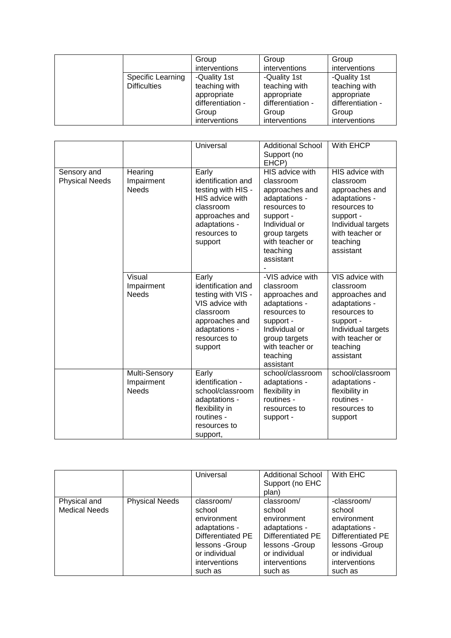|                     | Group             | Group             | Group             |
|---------------------|-------------------|-------------------|-------------------|
|                     | interventions     | interventions     | interventions     |
| Specific Learning   | -Quality 1st      | -Quality 1st      | -Quality 1st      |
| <b>Difficulties</b> | teaching with     | teaching with     | teaching with     |
|                     | appropriate       | appropriate       | appropriate       |
|                     | differentiation - | differentiation - | differentiation - |
|                     | Group             | Group             | Group             |
|                     | interventions     | interventions     | interventions     |

|                                      |                                             | Universal                                                                                                                                       | <b>Additional School</b><br>Support (no<br>EHCP)                                                                                                                            | With EHCP                                                                                                                                                      |
|--------------------------------------|---------------------------------------------|-------------------------------------------------------------------------------------------------------------------------------------------------|-----------------------------------------------------------------------------------------------------------------------------------------------------------------------------|----------------------------------------------------------------------------------------------------------------------------------------------------------------|
| Sensory and<br><b>Physical Needs</b> | Hearing<br>Impairment<br><b>Needs</b>       | Early<br>identification and<br>testing with HIS -<br>HIS advice with<br>classroom<br>approaches and<br>adaptations -<br>resources to<br>support | HIS advice with<br>classroom<br>approaches and<br>adaptations -<br>resources to<br>support -<br>Individual or<br>group targets<br>with teacher or<br>teaching<br>assistant  | HIS advice with<br>classroom<br>approaches and<br>adaptations -<br>resources to<br>support -<br>Individual targets<br>with teacher or<br>teaching<br>assistant |
|                                      | Visual<br>Impairment<br><b>Needs</b>        | Early<br>identification and<br>testing with VIS -<br>VIS advice with<br>classroom<br>approaches and<br>adaptations -<br>resources to<br>support | -VIS advice with<br>classroom<br>approaches and<br>adaptations -<br>resources to<br>support -<br>Individual or<br>group targets<br>with teacher or<br>teaching<br>assistant | VIS advice with<br>classroom<br>approaches and<br>adaptations -<br>resources to<br>support -<br>Individual targets<br>with teacher or<br>teaching<br>assistant |
|                                      | Multi-Sensory<br>Impairment<br><b>Needs</b> | Early<br>identification -<br>school/classroom<br>adaptations -<br>flexibility in<br>routines -<br>resources to<br>support,                      | school/classroom<br>adaptations -<br>flexibility in<br>routines -<br>resources to<br>support -                                                                              | school/classroom<br>adaptations -<br>flexibility in<br>routines -<br>resources to<br>support                                                                   |

|                                      |                       | Universal                                                                                                                                | <b>Additional School</b><br>Support (no EHC<br>plan)                                                                                     | With EHC                                                                                                                                          |
|--------------------------------------|-----------------------|------------------------------------------------------------------------------------------------------------------------------------------|------------------------------------------------------------------------------------------------------------------------------------------|---------------------------------------------------------------------------------------------------------------------------------------------------|
| Physical and<br><b>Medical Needs</b> | <b>Physical Needs</b> | classroom/<br>school<br>environment<br>adaptations -<br>Differentiated PE<br>lessons -Group<br>or individual<br>interventions<br>such as | classroom/<br>school<br>environment<br>adaptations -<br>Differentiated PE<br>lessons -Group<br>or individual<br>interventions<br>such as | -classroom/<br>school<br>environment<br>adaptations -<br><b>Differentiated PE</b><br>lessons - Group<br>or individual<br>interventions<br>such as |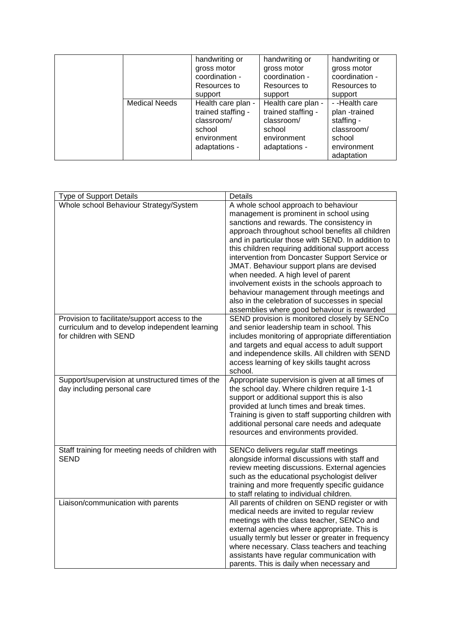|                      | handwriting or     | handwriting or     | handwriting or |
|----------------------|--------------------|--------------------|----------------|
|                      | gross motor        | gross motor        | gross motor    |
|                      | coordination -     | coordination -     | coordination - |
|                      | Resources to       | Resources to       | Resources to   |
|                      | support            | support            | support        |
| <b>Medical Needs</b> | Health care plan - | Health care plan - | --Health care  |
|                      | trained staffing - | trained staffing - | plan-trained   |
|                      | classroom/         | classroom/         | staffing -     |
|                      | school             | school             | classroom/     |
|                      | environment        | environment        | school         |
|                      | adaptations -      | adaptations -      | environment    |
|                      |                    |                    | adaptation     |

| <b>Type of Support Details</b>                                                                                            | Details                                                                                                                                                                                                                                                                                                                                                                                                                                                                                                                                                                                                                          |
|---------------------------------------------------------------------------------------------------------------------------|----------------------------------------------------------------------------------------------------------------------------------------------------------------------------------------------------------------------------------------------------------------------------------------------------------------------------------------------------------------------------------------------------------------------------------------------------------------------------------------------------------------------------------------------------------------------------------------------------------------------------------|
| Whole school Behaviour Strategy/System                                                                                    | A whole school approach to behaviour<br>management is prominent in school using<br>sanctions and rewards. The consistency in<br>approach throughout school benefits all children<br>and in particular those with SEND. In addition to<br>this children requiring additional support access<br>intervention from Doncaster Support Service or<br>JMAT. Behaviour support plans are devised<br>when needed. A high level of parent<br>involvement exists in the schools approach to<br>behaviour management through meetings and<br>also in the celebration of successes in special<br>assemblies where good behaviour is rewarded |
| Provision to facilitate/support access to the<br>curriculum and to develop independent learning<br>for children with SEND | SEND provision is monitored closely by SENCo<br>and senior leadership team in school. This<br>includes monitoring of appropriate differentiation<br>and targets and equal access to adult support<br>and independence skills. All children with SEND<br>access learning of key skills taught across<br>school.                                                                                                                                                                                                                                                                                                                   |
| Support/supervision at unstructured times of the<br>day including personal care                                           | Appropriate supervision is given at all times of<br>the school day. Where children require 1-1<br>support or additional support this is also<br>provided at lunch times and break times.<br>Training is given to staff supporting children with<br>additional personal care needs and adequate<br>resources and environments provided.                                                                                                                                                                                                                                                                                           |
| Staff training for meeting needs of children with<br><b>SEND</b>                                                          | SENCo delivers regular staff meetings<br>alongside informal discussions with staff and<br>review meeting discussions. External agencies<br>such as the educational psychologist deliver<br>training and more frequently specific guidance<br>to staff relating to individual children.                                                                                                                                                                                                                                                                                                                                           |
| Liaison/communication with parents                                                                                        | All parents of children on SEND register or with<br>medical needs are invited to regular review<br>meetings with the class teacher, SENCo and<br>external agencies where appropriate. This is<br>usually termly but lesser or greater in frequency<br>where necessary. Class teachers and teaching<br>assistants have regular communication with<br>parents. This is daily when necessary and                                                                                                                                                                                                                                    |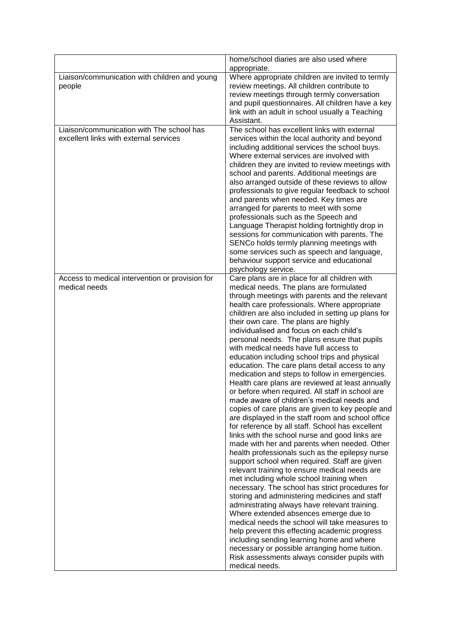|                                                                                     | home/school diaries are also used where<br>appropriate.                                                                                                                                                                                                                                                                                                                                                                                                                                                                                                                                                                                                                                                                                                                                                                                                                                                                                                                                                                                                                                                                                                                                                                                                                                                                                                                                                                                                                                                                                                                                                                                                                    |
|-------------------------------------------------------------------------------------|----------------------------------------------------------------------------------------------------------------------------------------------------------------------------------------------------------------------------------------------------------------------------------------------------------------------------------------------------------------------------------------------------------------------------------------------------------------------------------------------------------------------------------------------------------------------------------------------------------------------------------------------------------------------------------------------------------------------------------------------------------------------------------------------------------------------------------------------------------------------------------------------------------------------------------------------------------------------------------------------------------------------------------------------------------------------------------------------------------------------------------------------------------------------------------------------------------------------------------------------------------------------------------------------------------------------------------------------------------------------------------------------------------------------------------------------------------------------------------------------------------------------------------------------------------------------------------------------------------------------------------------------------------------------------|
| Liaison/communication with children and young<br>people                             | Where appropriate children are invited to termly<br>review meetings. All children contribute to<br>review meetings through termly conversation<br>and pupil questionnaires. All children have a key<br>link with an adult in school usually a Teaching<br>Assistant.                                                                                                                                                                                                                                                                                                                                                                                                                                                                                                                                                                                                                                                                                                                                                                                                                                                                                                                                                                                                                                                                                                                                                                                                                                                                                                                                                                                                       |
| Liaison/communication with The school has<br>excellent links with external services | The school has excellent links with external<br>services within the local authority and beyond<br>including additional services the school buys.<br>Where external services are involved with<br>children they are invited to review meetings with<br>school and parents. Additional meetings are<br>also arranged outside of these reviews to allow<br>professionals to give regular feedback to school<br>and parents when needed. Key times are<br>arranged for parents to meet with some<br>professionals such as the Speech and<br>Language Therapist holding fortnightly drop in<br>sessions for communication with parents. The<br>SENCo holds termly planning meetings with<br>some services such as speech and language,<br>behaviour support service and educational<br>psychology service.                                                                                                                                                                                                                                                                                                                                                                                                                                                                                                                                                                                                                                                                                                                                                                                                                                                                      |
| Access to medical intervention or provision for<br>medical needs                    | Care plans are in place for all children with<br>medical needs. The plans are formulated<br>through meetings with parents and the relevant<br>health care professionals. Where appropriate<br>children are also included in setting up plans for<br>their own care. The plans are highly<br>individualised and focus on each child's<br>personal needs. The plans ensure that pupils<br>with medical needs have full access to<br>education including school trips and physical<br>education. The care plans detail access to any<br>medication and steps to follow in emergencies.<br>Health care plans are reviewed at least annually<br>or before when required. All staff in school are<br>made aware of children's medical needs and<br>copies of care plans are given to key people and<br>are displayed in the staff room and school office<br>for reference by all staff. School has excellent<br>links with the school nurse and good links are<br>made with her and parents when needed. Other<br>health professionals such as the epilepsy nurse<br>support school when required. Staff are given<br>relevant training to ensure medical needs are<br>met including whole school training when<br>necessary. The school has strict procedures for<br>storing and administering medicines and staff<br>administrating always have relevant training.<br>Where extended absences emerge due to<br>medical needs the school will take measures to<br>help prevent this effecting academic progress<br>including sending learning home and where<br>necessary or possible arranging home tuition.<br>Risk assessments always consider pupils with<br>medical needs. |